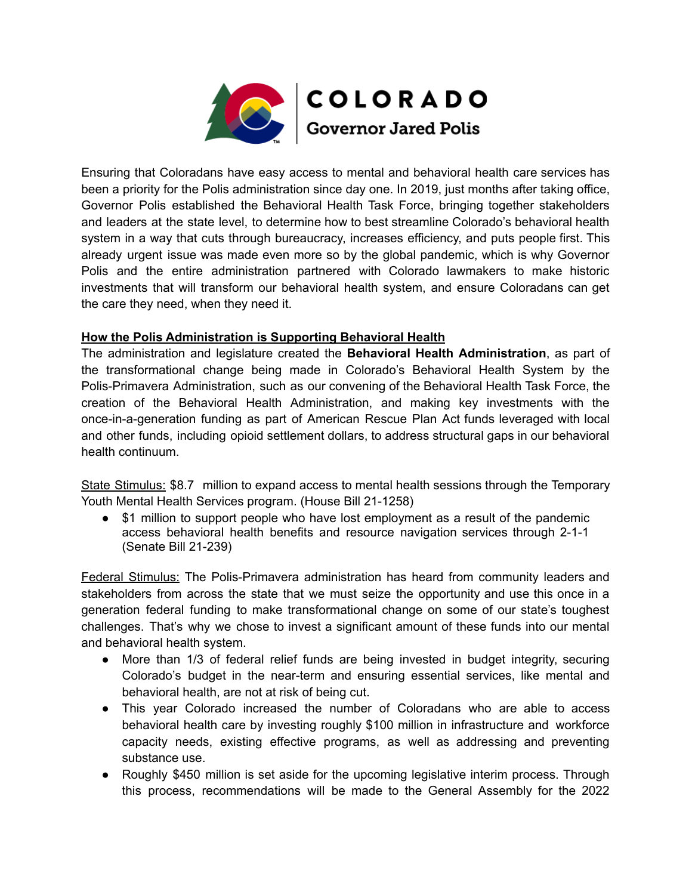

Ensuring that Coloradans have easy access to mental and behavioral health care services has been a priority for the Polis administration since day one. In 2019, just months after taking office, Governor Polis established the Behavioral Health Task Force, bringing together stakeholders and leaders at the state level, to determine how to best streamline Colorado's behavioral health system in a way that cuts through bureaucracy, increases efficiency, and puts people first. This already urgent issue was made even more so by the global pandemic, which is why Governor Polis and the entire administration partnered with Colorado lawmakers to make historic investments that will transform our behavioral health system, and ensure Coloradans can get the care they need, when they need it.

## **How the Polis Administration is Supporting Behavioral Health**

The administration and legislature created the **Behavioral Health Administration**, as part of the transformational change being made in Colorado's Behavioral Health System by the Polis-Primavera Administration, such as our convening of the Behavioral Health Task Force, the creation of the Behavioral Health Administration, and making key investments with the once-in-a-generation funding as part of American Rescue Plan Act funds leveraged with local and other funds, including opioid settlement dollars, to address structural gaps in our behavioral health continuum.

State Stimulus: \$8.7 million to expand access to mental health sessions through the Temporary Youth Mental Health Services program. (House Bill 21-1258)

● \$1 million to support people who have lost employment as a result of the pandemic access behavioral health benefits and resource navigation services through 2-1-1 (Senate Bill 21-239)

Federal Stimulus: The Polis-Primavera administration has heard from community leaders and stakeholders from across the state that we must seize the opportunity and use this once in a generation federal funding to make transformational change on some of our state's toughest challenges. That's why we chose to invest a significant amount of these funds into our mental and behavioral health system.

- More than 1/3 of federal relief funds are being invested in budget integrity, securing Colorado's budget in the near-term and ensuring essential services, like mental and behavioral health, are not at risk of being cut.
- This year Colorado increased the number of Coloradans who are able to access behavioral health care by investing roughly \$100 million in infrastructure and workforce capacity needs, existing effective programs, as well as addressing and preventing substance use.
- Roughly \$450 million is set aside for the upcoming legislative interim process. Through this process, recommendations will be made to the General Assembly for the 2022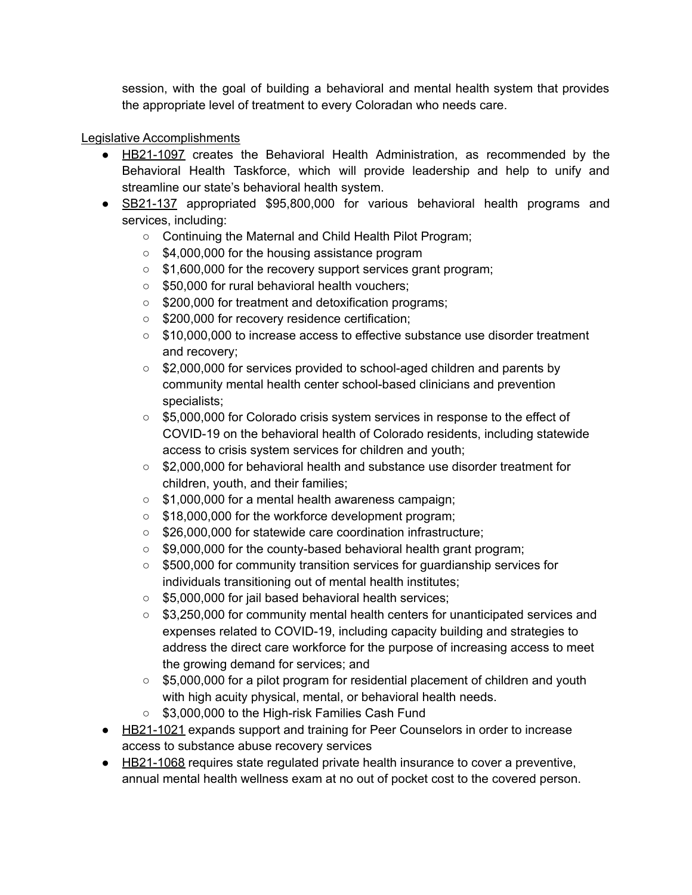session, with the goal of building a behavioral and mental health system that provides the appropriate level of treatment to every Coloradan who needs care.

## Legislative Accomplishments

- HB21-1097 creates the Behavioral Health Administration, as recommended by the Behavioral Health Taskforce, which will provide leadership and help to unify and streamline our state's behavioral health system.
- SB21-137 appropriated \$95,800,000 for various behavioral health programs and services, including:
	- Continuing the Maternal and Child Health Pilot Program;
	- \$4,000,000 for the housing assistance program
	- \$1,600,000 for the recovery support services grant program;
	- \$50,000 for rural behavioral health vouchers;
	- \$200,000 for treatment and detoxification programs;
	- \$200,000 for recovery residence certification;
	- \$10,000,000 to increase access to effective substance use disorder treatment and recovery;
	- \$2,000,000 for services provided to school-aged children and parents by community mental health center school-based clinicians and prevention specialists;
	- \$5,000,000 for Colorado crisis system services in response to the effect of COVID-19 on the behavioral health of Colorado residents, including statewide access to crisis system services for children and youth;
	- \$2,000,000 for behavioral health and substance use disorder treatment for children, youth, and their families;
	- \$1,000,000 for a mental health awareness campaign;
	- \$18,000,000 for the workforce development program;
	- \$26,000,000 for statewide care coordination infrastructure;
	- $\circ$  \$9,000,000 for the county-based behavioral health grant program;
	- \$500,000 for community transition services for guardianship services for individuals transitioning out of mental health institutes;
	- \$5,000,000 for jail based behavioral health services;
	- \$3,250,000 for community mental health centers for unanticipated services and expenses related to COVID-19, including capacity building and strategies to address the direct care workforce for the purpose of increasing access to meet the growing demand for services; and
	- \$5,000,000 for a pilot program for residential placement of children and youth with high acuity physical, mental, or behavioral health needs.
	- \$3,000,000 to the High-risk Families Cash Fund
- HB21-1021 expands support and training for Peer Counselors in order to increase access to substance abuse recovery services
- HB21-1068 requires state requiated private health insurance to cover a preventive, annual mental health wellness exam at no out of pocket cost to the covered person.